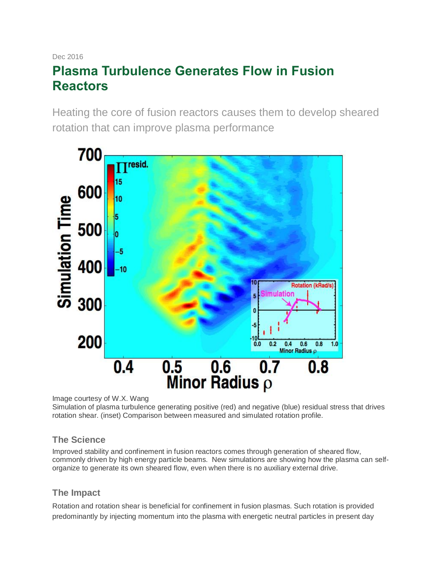# Dec 2016 **Plasma Turbulence Generates Flow in Fusion Reactors**

Heating the core of fusion reactors causes them to develop sheared rotation that can improve plasma performance



Image courtesy of W.X. Wang

Simulation of plasma turbulence generating positive (red) and negative (blue) residual stress that drives rotation shear. (inset) Comparison between measured and simulated rotation profile.

# **The Science**

Improved stability and confinement in fusion reactors comes through generation of sheared flow, commonly driven by high energy particle beams. New simulations are showing how the plasma can selforganize to generate its own sheared flow, even when there is no auxiliary external drive.

# **The Impact**

Rotation and rotation shear is beneficial for confinement in fusion plasmas. Such rotation is provided predominantly by injecting momentum into the plasma with energetic neutral particles in present day